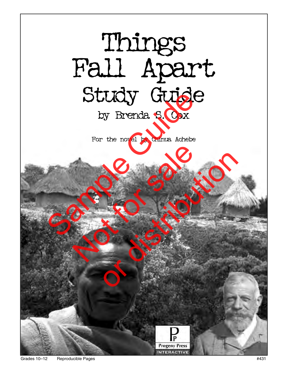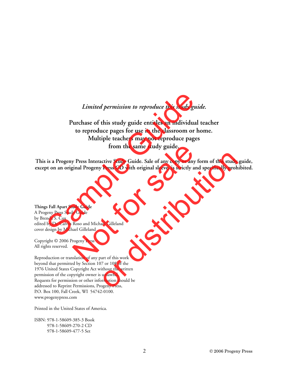#### *Limited permission to reproduce this study guide.*

# **Purchase of this study guide entitles an individual teacher to reproduce pages for use in the classroom or home. Multiple teachers may not reproduce pages from the same study guide.** *Limited permission to reproduce this study guia*<br>
Purchase of this study guide entitles an individual to reproduce pages for use in the classroom or homol<br>
Multiple teachers may not reproduce pages<br>
from the same study gu

**This is a Progeny Press Interactive Study Guide. Sale of any copy or any form of this study guide, except on an original Progeny Press CD with original sleeve, is strictly and specifically prohibited.** from the same study guide.<br>
y Press Interactive Study Guide. Sale of any copy or any fo<br>
ginal Progeny Press CD with original sleeve, is strictly and<br>
udy Guide<br>
Roso and Michael Gilleland<br>
rogeny Press<br>
slation of any par critive Study Guide. Sale of any copy or any form of this study<br>Press CD with original sleeve, is strictly and specifically proh<br>and specifically proh<br>and Gilleland<br>and Gilleland<br>under this work<br>unlawful.<br>under the written

**Things Fall Apart Study Guide** A Progeny Press Study Guide by Brenda S. Cox edited by Dr. Calvin Roso and Michael Gilleland cover design by Michael Gilleland

Copyright © 2006 Progeny Press All rights reserved.

Reproduction or translation of any part of this work beyond that permitted by Section 107 or 108 of the 1976 United States Copyright Act without the written permission of the copyright owner is unlawful. Requests for permission or other information should be addressed to Reprint Permissions, Progeny Press, P.O. Box 100, Fall Creek, WI 54742-0100. www.progenypress.com

Printed in the United States of America.

ISBN: 978-1-58609-385-3 Book 978-1-58609-270-2 CD 978-1-58609-477-5 Set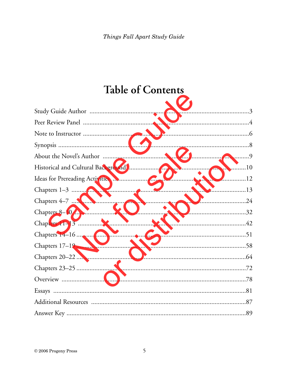# **Table of Contents**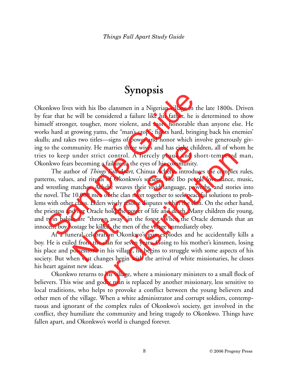# **Synopsis**

Okonkwo lives with his Ibo clansmen in a Nigerian village in the late 1800s. Driven by fear that he will be considered a failure like his father, he is determined to show himself stronger, tougher, more violent, and more honorable than anyone else. He works hard at growing yams, the "man's crop"; fights hard, bringing back his enemies' skulls; and takes two titles—signs of power and honor which involve generously giving to the community. He marries three wives and has eight children, all of whom he tries to keep under strict control. A fiercely proud and short-tempered man, Okonkwo fears becoming a failure in the eyes of his community.

The author of *Things Fall Apart,* Chinua Achebe, introduces the complex rules, patterns, values, and rituals of Okonkwo's society. The Ibo people love dance, music, and wrestling matches. Achebe weaves their vivid language, proverbs, and stories into the novel. The 10,000 men of the clan meet together to seek peaceful solutions to problems with other clans. Elders wisely resolve disputes within the clan. On the other hand, the priestess and her Oracle hold the power of life and death. Many children die young, and twin babies are "thrown away" in the forest. When the Oracle demands that an innocent boy hostage be killed, the men of the village immediately obey. **Example 18** Suppose that the will be considered a failure like his father, he is<br>ear that he will be considered a failure like his father, he is<br>self stronger, tougher, more violent, and more honorable the<br>s hard at grow munity. He marries three wives and has eight child<br>under strict control. A fiercely proud and sh<br>s becoming a failure in the eyes of his community.<br>hor of *Things Fall Apart*, Chinua Achebe, introduce<br>s, and rituals of Oko ct control. A fiercely proud and short-tempered<br>a failure in the eyes of his community.<br>ggs *Fall Apart*, Chinua Achebe, introduces the complex<br>ls of Okonkwo's society. The Ibo people love dance, t<br>hebe weaves their vivid

At a funeral celebration Okonkwo's gun explodes and he accidentally kills a boy. He is exiled from the clan for seven years. Going to his mother's kinsmen, losing his place and possessions in his village, he begins to struggle with some aspects of his society. But when vast changes begin with the arrival of white missionaries, he closes his heart against new ideas.

Okonkwo returns to his village, where a missionary ministers to a small flock of believers. This wise and godly man is replaced by another missionary, less sensitive to local traditions, who helps to provoke a conflict between the young believers and other men of the village. When a white administrator and corrupt soldiers, contemptuous and ignorant of the complex rules of Okonkwo's society, get involved in the conflict, they humiliate the community and bring tragedy to Okonkwo. Things have fallen apart, and Okonkwo's world is changed forever.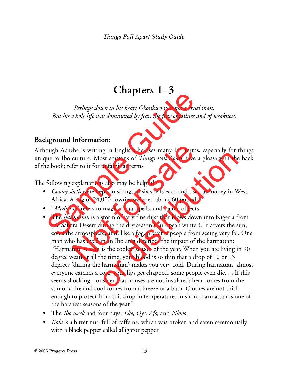# **Chapters 1–3**

*Perhaps down in his heart Okonkwo was not a cruel man. But his whole life was dominated by fear, the fear of failure and of weakness.*

# **Background Information:**

Although Achebe is writing in English, he uses many Ibo terms, especially for things unique to Ibo culture. Most editions of *Things Fall Apart* have a glossary in the back of the book; refer to it for unfamiliar terms.

The following explanations also may be helpful:

- *Cowry shells* were kept on strings of six shells each and used as money in West Africa. A bag of 24,000 cowries weighed about 60 pounds.
- "*Medicine*" refers to magic, ritual spells, and sacred objects.
- The *harmattan* is a storm of very fine dust that blows down into Nigeria from the Sahara Desert during the dry season (European winter). It covers the sun, cools the atmosphere, and, like a fog, prevents people from seeing very far. One man who has lived in an Ibo area describes the impact of the harmattan: "Harmattan season is the coolest season of the year. When you are living in 90 degree weather all the time, your blood is so thin that a drop of 10 or 15 degrees (during the harmattan) makes you very cold. During harmattan, almost everyone catches a cold, your lips get chapped, some people even die. . . If this seems shocking, consider that houses are not insulated: heat comes from the sun or a fire and cool comes from a breeze or a bath. Clothes are not thick enough to protect from this drop in temperature. In short, harmattan is one of the harshest seasons of the year." *Perhaps down in his heart Okonkwo was not a cruel*<br>*But his whole life was dominated by fear, the fear of failure an*<br>**kground Information:**<br>ough Achebe is writing in English, he uses many Ibo terms,<br>que to Ibo culture. M ebe is writing in English, he uses many Ibo terms,<br>culture. Most editions of *Things Fall Apart* have a<br>fer to it for unfamiliar terms.<br>explanations also may be helpful:<br>*hells* were kept on strings of six shells each and or distribution of Things Fall Apart have a glossary in the<br>unfamiliar terms.<br>Sost editions of *Things Fall Apart* have a glossary in the<br>unfamiliar terms.<br>So also may be helpful:<br>pt on strings of six shells each and used
- The *Ibo week* had four days: *Eke, Oye, Afo,* and *Nkwo*.
- *Kola* is a bitter nut, full of caffeine, which was broken and eaten ceremonially with a black pepper called alligator pepper.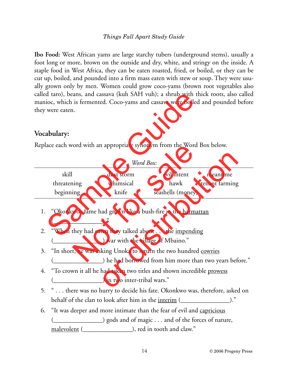**Ibo Food:** West African yams are large starchy tubers (underground stems), usually a foot long or more, brown on the outside and dry, white, and stringy on the inside. A staple food in West Africa, they can be eaten roasted, fried, or boiled, or they can be cut up, boiled, and pounded into a firm mass eaten with stew or soup. They were usually grown only by men. Women could grow coco-yams (brown root vegetables also called taro), beans, and cassava (kuh SAH vuh); a shrub with thick roots, also called manioc, which is fermented. Coco-yams and cassava were boiled and pounded before they were eaten.

#### **Vocabulary:**

|    | they were eaten.                                                                                                      |                                                                        |                   | called taro), beans, and cassava (kuh SAH vuh); a shrub with thick roots, also called<br>manioc, which is fermented. Coco-yams and cassava were boiled and pounded before |  |
|----|-----------------------------------------------------------------------------------------------------------------------|------------------------------------------------------------------------|-------------------|---------------------------------------------------------------------------------------------------------------------------------------------------------------------------|--|
|    | <b>Vocabulary:</b>                                                                                                    |                                                                        |                   |                                                                                                                                                                           |  |
|    |                                                                                                                       | Replace each word with an appropriate synonym from the Word Box below. |                   |                                                                                                                                                                           |  |
|    |                                                                                                                       | Word Box:                                                              |                   |                                                                                                                                                                           |  |
|    | skill                                                                                                                 | dust storm                                                             | evil intent       | meantime                                                                                                                                                                  |  |
|    | threatening                                                                                                           | whimsical                                                              | hawk              | tenant farming                                                                                                                                                            |  |
|    | beginning                                                                                                             | knife                                                                  | seashells (money) |                                                                                                                                                                           |  |
|    | $\cdot$ "                                                                                                             | 1. "Okonkwo's fame had grown like a bush-fire in the harmattan         |                   |                                                                                                                                                                           |  |
| 2. | "When they had eaten they talked about the <u>impending</u><br>____________________) war with the village of Mbaino." |                                                                        |                   |                                                                                                                                                                           |  |
|    |                                                                                                                       | 3. "In short, he was asking Unoka to return the two hundred cowries    |                   |                                                                                                                                                                           |  |
|    |                                                                                                                       |                                                                        |                   | ____________________) he had borrowed from him more than two years before."                                                                                               |  |
| 4. |                                                                                                                       |                                                                        |                   |                                                                                                                                                                           |  |
|    | "To crown it all he had taken two titles and shown incredible prowess<br>in two inter-tribal wars."                   |                                                                        |                   |                                                                                                                                                                           |  |
|    |                                                                                                                       |                                                                        |                   | there was no hurry to decide his fate. Okenlave was therefore ested on                                                                                                    |  |

- 5. " . . . there was no hurry to decide his fate. Okonkwo was, therefore, asked on behalf of the clan to look after him in the <u>interim (see also</u>)."
- 6. "It was deeper and more intimate than the fear of evil and capricious (\_\_\_\_\_\_\_\_\_\_\_\_\_\_\_) gods and of magic . . . and of the forces of nature, malevolent (\_\_\_\_\_\_\_\_\_\_\_\_\_\_\_\_), red in tooth and claw."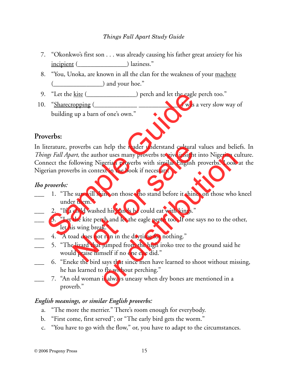- 7. "Okonkwo's first son . . . was already causing his father great anxiety for his incipient (\_\_\_\_\_\_\_\_\_\_\_\_\_\_\_\_) laziness."
- 8. "You, Unoka, are known in all the clan for the weakness of your machete ( <u>contract</u>) and your hoe."
- 9. "Let the kite (\_\_\_\_\_\_\_\_\_\_\_\_\_\_\_) perch and let the eagle perch too."
- 10. "Sharecropping (\_\_\_\_\_\_\_\_\_\_\_\_\_\_\_\_\_\_\_\_\_\_\_\_\_\_\_\_\_\_\_\_\_) was a very slow way of building up a barn of one's own."

## **Proverbs:**

In literature, proverbs can help the reader understand cultural values and beliefs. In *Things Fall Apart,* the author uses many proverbs to give insight into Nigerian culture. Connect the following Nigerian proverbs with similar English proverbs. Look at the Nigerian proverbs in context in the book if necessary. "Let the <u>kite</u> (Chromonously perch and let the eagle published and the state of the state of soluciding up a barn of one's own."<br>
Werbs:<br>
terature, proverbs can help the reader understand cultural vary state the following proverbs can help the reader understand cultural v<br>
sart, the author uses many proverbs to give insight in<br>
bllowing Nigerian proverbs with similar English p<br>
rbs in context in the book if necessary.<br>
e sun will shine on t nor uses many proverbs to give insight into Nigerian cu<br>igerian proverbs with similar English proverbs. Look<br>ext in the book if necessary.<br>inne on those who stand before it shines on those who<br>ed his hands he could eat wit

#### *Ibo proverbs:*

- 1. "The sun will shine on those who stand before it shines on those who kneel under them."
- 2. "If a child washed his hands he could eat with kings."
- \_\_\_ 3. "Let the kite perch and let the eagle perch too. If one says no to the other, let his wing break."
- 4. "A toad does not run in the daytime for nothing."
- 5. "The lizard that jumped from the high iroko tree to the ground said he would praise himself if no one else did."
- \_\_\_ 6. "Eneke the bird says that since men have learned to shoot without missing, he has learned to fly without perching."
- \_\_\_ 7. "An old woman is always uneasy when dry bones are mentioned in a proverb."

#### *English meanings, or similar English proverbs:*

- a. "The more the merrier." There's room enough for everybody.
- b. "First come, first served"; or "The early bird gets the worm."
- c. "You have to go with the flow," or, you have to adapt to the circumstances.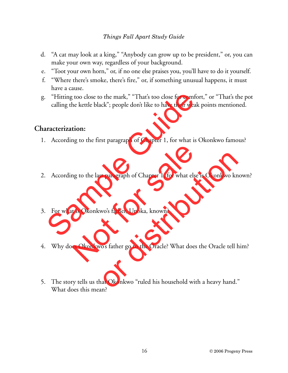- d. "A cat may look at a king," "Anybody can grow up to be president," or, you can make your own way, regardless of your background.
- e. "Toot your own horn," or, if no one else praises you, you'll have to do it yourself.
- f. "Where there's smoke, there's fire," or, if something unusual happens, it must have a cause.
- g. "Hitting too close to the mark," "That's too close for comfort," or "That's the pot calling the kettle black"; people don't like to have their weak points mentioned. "Hitting too close to the mark," "That's too close for comform calling the kettle black"; people don't like to have their weak practerization:<br>
According to the first paragraph of Chapter 1, for what is C<br>
According to the

## **Characterization:**

- 1. According to the first paragraph of Chapter 1, for what is Okonkwo famous?
- 2. According to the last paragraph of Chapter 1, for what else is Okonkwo known? ng to the last paragraph of Chapter 1, for what else i<br>t is Okonkwo's father, Unoka, known?<br>es Okonkwo's father go to the Oracle? What does t
- 3. For what is Okonkwo's father, Unoka, known?
- 4. Why does Okonkwo's father go to the Oracle? What does the Oracle tell him?
- 5. The story tells us that Okonkwo "ruled his household with a heavy hand." What does this mean? <sup>1</sup> t paragraph of Chapter 1, for what else is Okonkwo kn<br>wo's father, Unoka, known?<br>o's father go to the Oracle? What does the Oracle tell b<br>at Okonkwo "ruled his household with a heavy hand."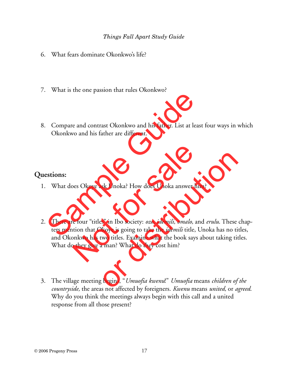- 6. What fears dominate Okonkwo's life?
- 7. What is the one passion that rules Okonkwo?
- 8. Compare and contrast Okonkwo and his father. List at least four ways in which Okonkwo and his father are different.

### **Questions:**

- 1. What does Okoye ask Unoka? How does Unoka answer him?
- 2. There are four "titles" in Ibo society: *ozo, idemili, omalo,* and *erulu*. These chapters mention that Okoye is going to take the *idemili* title, Unoka has no titles, and Okonkwo has two titles. Examine what the book says about taking titles. What do they give a man? What do they cost him? Compare and contrast Okonkwo and his father. List at lease<br>Okonkwo and his father are different.<br>Sample Guide Guide Guide Guide Guide Constants and the set of the control of the case of Chendrian can construct the basic me bes Okoye ask Unoka? How does Unoka answer hir<br>the four "titles" in Ibo society: *ozo, idemili, omalo,* an<br>tion that Okoye is going to take the *idemili* title, U<br>pohy on has two titles. Examine what the book says a<br>phey g Solutional How does Unoka answer him?<br>
Solutional How does Unoka answer him?<br>
Solutional How is going to take the *idemili* title, Unoka has no ti<br>
Solution titles. Examine what the book says about taking titled<br>
Solutiona
- 3. The village meeting begins, "*Umuofia kwenu*!" *Umuofia* means *children of the countryside,* the areas not affected by foreigners. *Kwenu* means *united,* or *agreed*. Why do you think the meetings always begin with this call and a united response from all those present?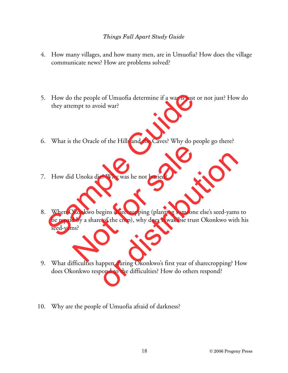- 4. How many villages, and how many men, are in Umuofia? How does the village communicate news? How are problems solved?
- 5. How do the people of Umuofia determine if a war is just or not just? How do they attempt to avoid war?
- 6. What is the Oracle of the Hills and the Caves? Why do people go there?
- 7. How did Unoka die? Why was he not buried?
- 8. When Okonkwo begins sharecropping (planting someone else's seed-yams to be repaid by a share of the crop), why does Nwakibie trust Okonkwo with his seed-yams? How do the people of Umuofia determine if a war is just of<br>they attempt to avoid war?<br>What is the Oracle of the Hills and the Caves? Why do peo<br>How did Unoka die? Why was he not buried?<br>When Okonkwo begins sharecropping (p d Unoka die? Why was he not buried?<br>
Dkonkwo begins sharecropping (planting someone of the sales of the crop), why does Nwakibie trust<br>
ms?<br>
Continuing the same derived  $Q$  and an analytic  $Q$  and an analytic flatter than of Why was he not buried?<br>Example 13: Why was he not buried?<br>The signis sharecropping (planting someone else's seed-yams<br>of the crop), why does Nwakibie trust Okonkwo with<br>the cropping? Hypend during Okonkwo's first year o
- 9. What difficulties happen during Okonkwo's first year of sharecropping? How does Okonkwo respond to the difficulties? How do others respond?
- 10. Why are the people of Umuofia afraid of darkness?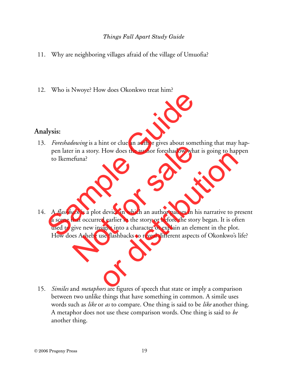- 11. Why are neighboring villages afraid of the village of Umuofia?
- 12. Who is Nwoye? How does Okonkwo treat him?

## **Analysis:**

- 13. *Foreshadowing* is a hint or clue an author gives about something that may happen later in a story. How does the author foreshadow what is going to happen to Ikemefuna?
- 14. A *flashback* is a plot device in which an author pauses in his narrative to present a scene that occurred earlier in the story or before the story began. It is often used to give new insight into a character or explain an element in the plot. How does Achebe use flashbacks to reveal different aspects of Okonkwo's life? a<br> **If the Sample School System**<br>
Foreshadowing is a hint or clue an author gives about somet<br>
pen later in a story. How does the author foreshadow what<br>
to lkemefuna?<br>
A *flashback* is a plot device in which an author pau  $\vec{h}$  and  $\vec{h}$  is a finit of effect an addition gives about sometime in a story. How does the author foreshadow what efuna?<br> $\vec{h}$  and  $\vec{h}$  is a plot device in which an author pauses in his that occurred earlier The device in which an author pauses in his narrative to provide the story of dealier in the story or before the story began. It is oftight into a character or explain an element in the plot<br>sight into a character or expla
- 15. *Similes* and *metaphors* are figures of speech that state or imply a comparison between two unlike things that have something in common. A simile uses words such as *like* or *as* to compare. One thing is said to be *like* another thing. A metaphor does not use these comparison words. One thing is said to *be* another thing.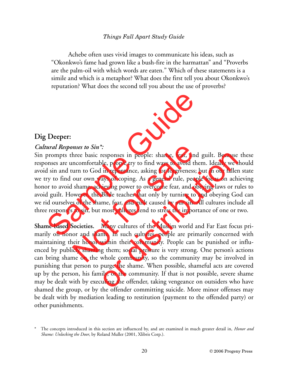Achebe often uses vivid images to communicate his ideas, such as "Okonkwo's fame had grown like a bush-fire in the harmattan" and "Proverbs are the palm-oil with which words are eaten." Which of these statements is a simile and which is a metaphor? What does the first tell you about Okonkwo's reputation? What does the second tell you about the use of proverbs?

### **Dig Deeper:**

#### *Cultural Responses to Sin\*:*

Sin prompts three basic responses in people: shame, fear, and guilt. Because these responses are uncomfortable, people try to find ways to avoid them. Ideally we should avoid sin and turn to God in repentance, asking for forgiveness; but in our fallen state we try to find our own ways of coping. As a general rule, people focus on achieving honor to avoid shame, achieving power to overcome fear, and obeying laws or rules to avoid guilt. However, the Bible teaches that only by turning to and obeying God can we rid ourselves of the shame, fear, and guilt caused by our sin. All cultures include all three responses to sin, but most cultures tend to stress the importance of one or two. Samples Consideration Consideration (Deeper:<br>
Samples the Sin X<sup>\*</sup>:<br>
prompts three basic responses in people: shame, fear, and<br>
onses are uncomfortable, people try to find ways to avoid the<br>
d sin and turn to God in repent mses to Sin<sup>\*</sup>:<br>hree basic responses in people: shame, fear, and<br>ncomfortable, people try to find ways to avoid the<br>urn to God in repentance, asking for forgiveness; b<br>our own ways of coping. As a general rule, people<br>sham

**Shame-based Societies.** Many cultures of the Muslim world and Far East focus primarily on honor and shame. In such cultures, people are primarily concerned with maintaining their honor within their community. People can be punished or influenced by publicly shaming them; social pressure is very strong. One person's actions can bring shame on the whole community, so the community may be involved in punishing that person to purge the shame. When possible, shameful acts are covered up by the person, his family, or the community. If that is not possible, severe shame may be dealt with by executing the offender, taking vengeance on outsiders who have shamed the group, or by the offender committing suicide. More minor offenses may be dealt with by mediation leading to restitution (payment to the offended party) or other punishments. responses in people: shame, fear, and guilt. Because<br>ble, people try to find ways to avoid them. Ideally we s<br>in repentance, asking for forgiveness; but in our faller<br>ays of coping. As a general rule, people focus on ach<br>i

<sup>\*</sup> The concepts introduced in this section are influenced by, and are examined in much greater detail in, *Honor and Shame: Unlocking the Door*, by Roland Muller (2001, Xlibris Corp.).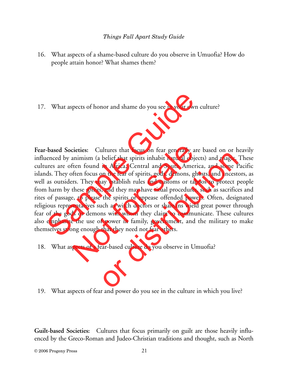- 16. What aspects of a shame-based culture do you observe in Umuofia? How do people attain honor? What shames them?
- 17. What aspects of honor and shame do you see in your own culture?

**Fear-based Societies:** Cultures that focus on fear generally are based on or heavily influenced by animism (a belief that spirits inhabit natural objects) and magic. These cultures are often found in Africa, Central and South America, and some Pacific islands. They often focus on the fear of spirits, gods, demons, ghosts, and ancestors, as well as outsiders. They may establish rules and customs or taboos to protect people from harm by these spirits, and they may have ritual procedures, such as sacrifices and rites of passage, to please the spirits or appease offended powers. Often, designated religious representatives such as witch doctors or shamans wield great power through fear of the gods or demons with whom they claim to communicate. These cultures also emphasize the use of power in family, government, and the military to make themselves strong enough that they need not fear others. What aspects of honor and shame do you see in your own c<br>
-based Societies: Cultures that focus on fear generally are<br>
elenced by animism (a belief that spirits inhabit natural objectures<br>
are often found in Africa, Centra cieties: Cultures that focus on fear generally are<br>animism (a belief that spirits inhabit natural object<br>ften found in Africa, Central and South Americ<br>ften focus on the fear of spirits, gods, demons, gho<br>rs. They may esta metrics that focus on fear generally are stated on of his belief that spirits inhabit natural objects) and magic.<br>
in Africa, Central and South America, and some F<br>
on the fear of spirits, gods, demons, ghosts, and ancest<br>

- 18. What aspects of a fear-based culture do you observe in Umuofia?
- 19. What aspects of fear and power do you see in the culture in which you live?

**Guilt-based Societies:** Cultures that focus primarily on guilt are those heavily influenced by the Greco-Roman and Judeo-Christian traditions and thought, such as North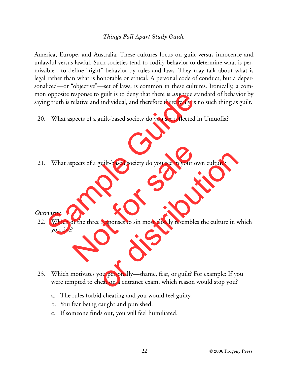America, Europe, and Australia. These cultures focus on guilt versus innocence and unlawful versus lawful. Such societies tend to codify behavior to determine what is permissible—to define "right" behavior by rules and laws. They may talk about what is legal rather than what is honorable or ethical. A personal code of conduct, but a depersonalized—or "objective"—set of laws, is common in these cultures. Ironically, a common opposite response to guilt is to deny that there is *any* true standard of behavior by saying truth is relative and individual, and therefore there really is no such thing as guilt.

- 20. What aspects of a guilt-based society do you see reflected in Umuofia?
- 21. What aspects of a guilt-based society do you see in your own culture?

#### *Overview:*

- 22. Which of the three responses to sin most closely resembles the culture in which you live? of a guilt is to deny that there is *any* true star<br>ig truth is relative and individual, and therefore there really is no<br>What aspects of a guilt-based society do you see reflected in<br>What aspects of a guilt-based society pects of a guilt-based society do you see in your ow<br>of the three responses to sin most closely resembles<br>?
- 23. Which motivates you personally—shame, fear, or guilt? For example: If you were tempted to cheat on a entrance exam, which reason would stop you? uilt-based society do you see in your own culture?<br>responses to sin most closely resembles the culture in v<br>vu personally—shame, fear, or guilt? For example: If yo<br>eat on a entrance exam, which reason would stop you?
	- a. The rules forbid cheating and you would feel guilty.
	- b. You fear being caught and punished.
	- c. If someone finds out, you will feel humiliated.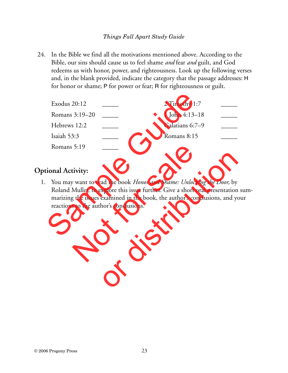24. In the Bible we find all the motivations mentioned above. According to the Bible, our sins should cause us to feel shame *and* fear *and* guilt, and God redeems us with honor, power, and righteousness. Look up the following verses and, in the blank provided, indicate the category that the passage addresses: H for honor or shame; P for power or fear; R for righteousness or guilt.

| Exodus 20:12                           |                                                                                                                                                                                                                                               | 2 Timothy 1:7   |  |
|----------------------------------------|-----------------------------------------------------------------------------------------------------------------------------------------------------------------------------------------------------------------------------------------------|-----------------|--|
| Romans 3:19–20                         |                                                                                                                                                                                                                                               | 1 John 4:13–18  |  |
| Hebrews 12:2                           |                                                                                                                                                                                                                                               | Galatians 6:7-9 |  |
| Isaiah 53:3                            |                                                                                                                                                                                                                                               | Romans 8:15     |  |
| Romans 5:19                            |                                                                                                                                                                                                                                               |                 |  |
|                                        |                                                                                                                                                                                                                                               |                 |  |
| tional Activity:                       |                                                                                                                                                                                                                                               |                 |  |
| reactions to the author's conclusions. | You may want to read the book <i>Honor and Shame: Unlocking the Door</i> , by<br>Roland Muller, to explore this issue further. Give a short oral presentation a<br>marizing the issues examined in the book, the author's conclusions, and yo |                 |  |

# **Optional Activity:**

1. You may want to read the book *Honor and Shame: Unlocking the Door,* by Roland Muller, to explore this issue further. Give a short oral presentation summarizing the issues examined in the book, the author's conclusions, and your reactions to the author's conclusions. Not for sale ad the book *Honor and Shame: Unlocking the Door*, by<br>xplore this issue further. Give a short oral presentation<br>examined in the book, the author's conclusions, and ye<br>hor's conclusions.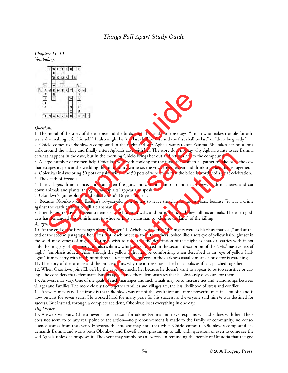

#### *Questions:*

1. The moral of the story of the tortoise and the birds might be, as the tortoise says, "a man who makes trouble for others is also making it for himself." It also might be "the last shall be first and the first shall be last" or "don't be greedy."

2. Chielo comes to Okonkwo's compound in the night and says Agbala wants to see Ezinma. She takes her on a long walk around the village and finally enters Agbala's cave with her. The story does not say why Agbala wants to see Ezinma or what happens in the cave, but in the morning Chielo brings her out and returns her to the compound. Example 1<br>
Solution of the corrost and the birds might be, as the tortoise says, "a man<br>
also making it for himself." It also might be "the last shall be first and the first shall be liel<br>
colones to Okonkwo's compound in

3. A large number of women help Obierika's wife with cooking for the feast; the women all gather to take back the cow that escapes its pen; at the wedding the community witnesses the vows together, eat and drink together, dance together.

4. Obierika's in-laws bring 50 pots of palm wine. The 50 pots of wine show that the bride is worthy of a great celebration. 5. The death of Ezeudu.

6. The villagers drum, dance, and wail; men fire guns and cannon, jump around in a frenzy, clash machetes, and cut down animals and plants; the *egwugwu* "spirits" appear and speak.

7. Okonkwo's gun explodes and kills Ezeudu's 16-year-old son.

8. Because Okonkwo kills Ezeudu's 16-year-old son, he has to leave the clan for seven years, because "it was a crime against the earth goddess to kill a clansman."

9. Friends and relatives of Ezeudu demolish the huts and walls and burn them, and they kill his animals. The earth goddess has demanded this punishment to whoever kills a clansman to "cleanse the land" of the killing. *Analysis:*

10. At the end of the first paragraph of Chapter 11, Achebe writes that "the nights were as black as charcoal," and at the end of the second paragraph he writes that "each hut seen from the others looked like a soft eye of yellow half-light set in the solid massiveness of night." You may wish to note that the description of the night as charcoal carries with it not only the imagery of blackness, but also solidity, which is reinforced in the second description of the "*solid* massiveness of night" (emphasis added). Also, though the yellow light may be comforting, when described as an "eye of yellow halflight," it may carry with it a hint of threat—reflected yellow eyes in the darkness usually means a predator is watching. Okonkwos compound in the night and says Agbala wants to see Ezinge and finally enters Agbala's cave with her. The story does not say why dependence, be cave, but in the morning Chielo brings from the freater, the women hel The may was the wind in the stay was not and with responsed to the compound.<br>The morning Chielo brings her out and returns her to the compound.<br>
Diberika's wife with cooking for the feast; the women all gather to take bac

11. The story of the tortoise and the birds explains why the tortoise has a shell that looks as if it is patched together.

12. When Okonkwo joins Ekwefi by the cave, he mocks her because he doesn't want to appear to be too sensitive or caring—he considers that effeminate. But his appearance there demonstrates that he obviously does care for them.

13. Answers may vary. One of the goals of such marriages and such rituals may be to increase ties and relationships between villages and families. The more closely tied together families and villages are, the less likelihood of stress and conflict.

14. Answers may vary. The irony is that Okonkwo was one of the wealthiest and most powerful men in Umuofia and is now outcast for seven years. He worked hard for many years for his success, and everyone said his *chi* was destined for success. But instead, through a complete accident, Okonkwo loses everything in one day.

#### *Dig Deeper:*

15. Answers will vary. Chielo never states a reason for taking Ezinma and never explains what she does with her. There does not seem to be any real point to the action—no pronouncement is made to the family or community, no consequence comes from the event. However, the student may note that when Chielo comes to Okonkwo's compound she demands Ezinma and warns both Okonkwo and Ekwefi about presuming to talk with, question, or even to come see the god Agbala unless he proposes it. The event may simply be an exercise in reminding the people of Umuofia that the god